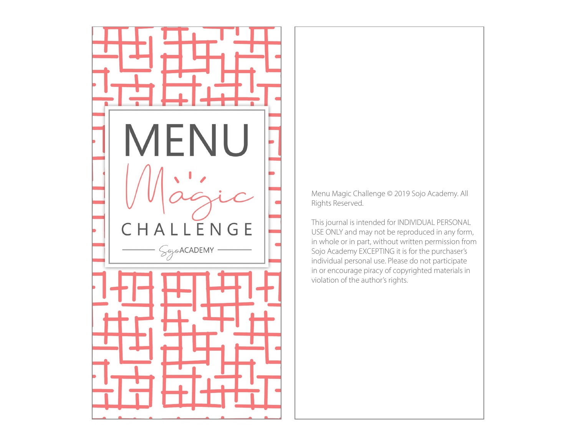

Menu Magic Challenge © 2019 Sojo Academy. All Rights Reserved.

This journal is intended for INDIVIDUAL PERSONAL USE ONLY and may not be reproduced in any form, in whole or in part, without written permission from Sojo Academy EXCEPTING it is for the purchaser's individual personal use. Please do not participate in or encourage piracy of copyrighted materials in violation of the author's rights.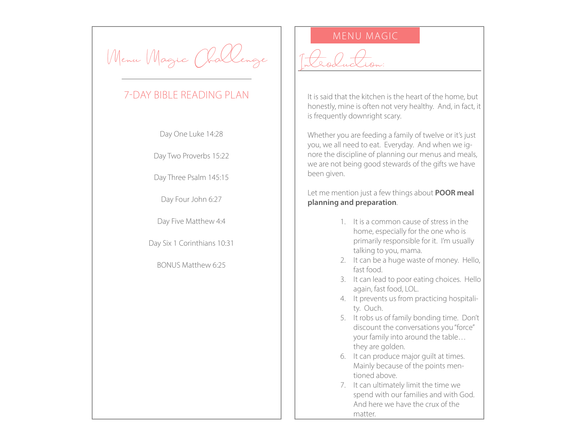Menu Magic Chal

## 7-DAY BIBLE READING PLAN

Day One Luke 14:28

Day Two Proverbs 15:22

Day Three Psalm 145:15

Day Four John 6:27

Day Five Matthew 4:4

Day Six 1 Corinthians 10:31

BONUS Matthew 6:25

## MENU MAGIC

Introduction:

It is said that the kitchen is the heart of the home, but honestly, mine is often not very healthy. And, in fact, it is frequently downright scary.

Whether you are feeding a family of twelve or it's just you, we all need to eat. Everyday. And when we ignore the discipline of planning our menus and meals, we are not being good stewards of the gifts we have been given.

Let me mention just a few things about **POOR meal planning and preparation**.

- 1. It is a common cause of stress in the home, especially for the one who is primarily responsible for it. I'm usually talking to you, mama.
- 2. It can be a huge waste of money. Hello, fast food.
- 3. It can lead to poor eating choices. Hello again, fast food, LOL.
- 4. It prevents us from practicing hospitality. Ouch.
- 5. It robs us of family bonding time. Don't discount the conversations you "force" your family into around the table… they are golden.
- 6. It can produce major guilt at times. Mainly because of the points mentioned above.
- 7. It can ultimately limit the time we spend with our families and with God. And here we have the crux of the matter.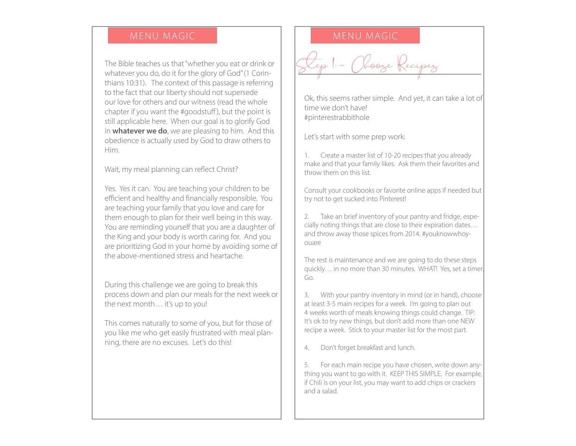The Bible teaches us that "whether you eat or drink or whatever you do, do it for the glory of God" (1 Corinthians 10:31). The context of this passage is referring to the fact that our liberty should not supersede our love for others and our witness (read the whole chapter if you want the #goodstuff ), but the point is still applicable here. When our goal is to glorify God in **whatever we do**, we are pleasing to him. And this obedience is actually used by God to draw others to Him.

Wait, my meal planning can reflect Christ?

Yes. Yes it can. You are teaching your children to be efficient and healthy and financially responsible. You are teaching your family that you love and care for them enough to plan for their well being in this way. You are reminding yourself that you are a daughter of the King and your body is worth caring for. And you are prioritizing God in your home by avoiding some of the above-mentioned stress and heartache.

During this challenge we are going to break this process down and plan our meals for the next week or the next month… it's up to you!

This comes naturally to some of you, but for those of you like me who get easily frustrated with meal planning, there are no excuses. Let's do this!

### MENU MAGIC NEWSLET NEWSLET MENU MAGIC

Kooge |

Ok, this seems rather simple. And yet, it can take a lot of time we don't have! #pinterestrabbithole

Let's start with some prep work:

1. Create a master list of 10-20 recipes that you already make and that your family likes. Ask them their favorites and throw them on this list.

Consult your cookbooks or favorite online apps if needed but try not to get sucked into Pinterest!

2. Take an brief inventory of your pantry and fridge, especially noting things that are close to their expiration dates… and throw away those spices from 2014. #youknowwhoyouare

The rest is maintenance and we are going to do these steps quickly… in no more than 30 minutes. WHAT! Yes, set a timer. Go.

3. With your pantry inventory in mind (or in hand), choose at least 3-5 main recipes for a week. I'm going to plan out 4 weeks worth of meals knowing things could change. TIP: It's ok to try new things, but don't add more than one NEW recipe a week. Stick to your master list for the most part.

4. Don't forget breakfast and lunch.

5. For each main recipe you have chosen, write down anything you want to go with it. KEEP THIS SIMPLE. For example, if Chili is on your list, you may want to add chips or crackers and a salad.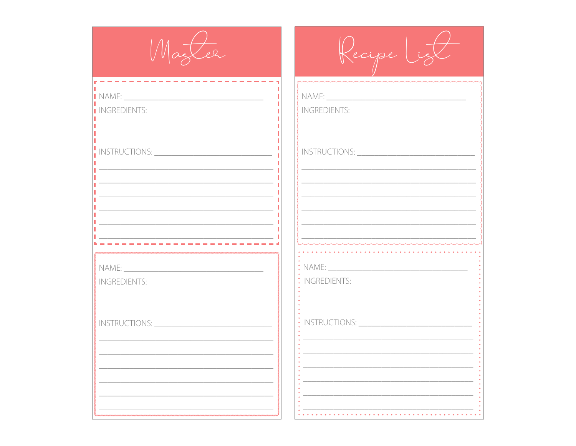Magler

Recipe List

 $\overline{\phantom{a}}$  INGREDIENTS:

I INGREDIENTS:

INGREDIENTS:

 $:$  INSTRUCTIONS:  $\_\_$ 

: INGREDIENTS:

 $\therefore$  NAME: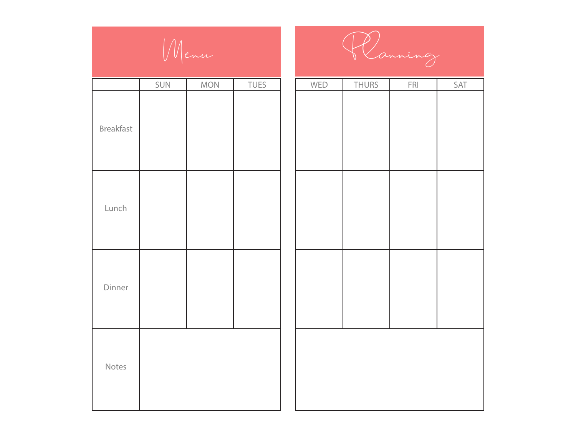

|           | SUN | <b>MON</b> | <b>TUES</b> | WED | <b>THURS</b> | ${\sf FRI}$ | SAT |
|-----------|-----|------------|-------------|-----|--------------|-------------|-----|
| Breakfast |     |            |             |     |              |             |     |
| Lunch     |     |            |             |     |              |             |     |
| Dinner    |     |            |             |     |              |             |     |
| Notes     |     |            |             |     |              |             |     |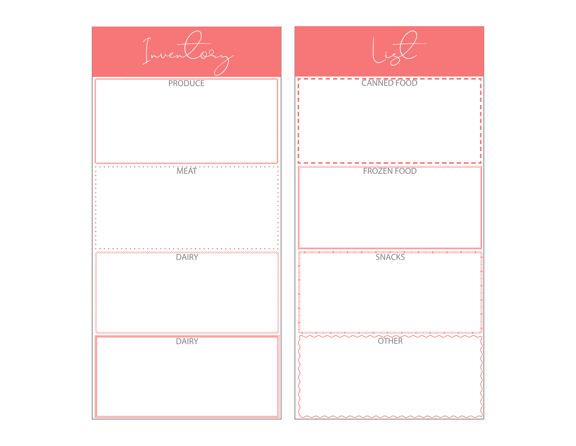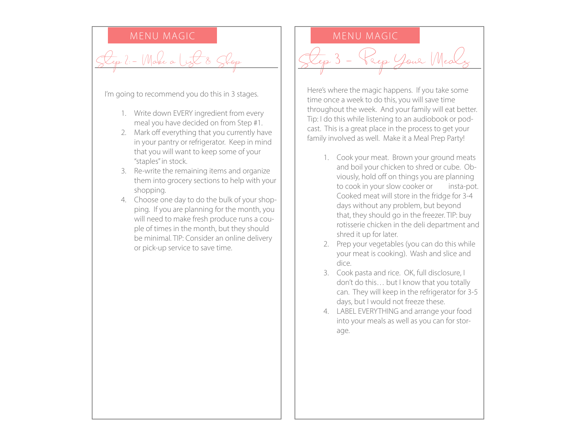$M$ ake a  $L$ ist

I'm going to recommend you do this in 3 stages.

- 1. Write down EVERY ingredient from every meal you have decided on from Step #1.
- 2. Mark off everything that you currently have in your pantry or refrigerator. Keep in mind that you will want to keep some of your "staples" in stock.
- 3. Re-write the remaining items and organize them into grocery sections to help with your shopping.
- 4. Choose one day to do the bulk of your shopping. If you are planning for the month, you will need to make fresh produce runs a couple of times in the month, but they should be minimal. TIP: Consider an online delivery or pick-up service to save time.

### MENU MAGIC NERVICE RESERVE MENU MAGIC

Sep Your Meal

Here's where the magic happens. If you take some time once a week to do this, you will save time throughout the week. And your family will eat better. Tip: I do this while listening to an audiobook or podcast. This is a great place in the process to get your family involved as well. Make it a Meal Prep Party!

- 1. Cook your meat. Brown your ground meats and boil your chicken to shred or cube. Obviously, hold off on things you are planning to cook in your slow cooker or insta-pot. Cooked meat will store in the fridge for 3-4 days without any problem, but beyond that, they should go in the freezer. TIP: buy rotisserie chicken in the deli department and shred it up for later.
- 2. Prep your vegetables (you can do this while your meat is cooking). Wash and slice and dice.
- 3. Cook pasta and rice. OK, full disclosure, I don't do this… but I know that you totally can. They will keep in the refrigerator for 3-5 days, but I would not freeze these.
- 4. LABEL EVERYTHING and arrange your food into your meals as well as you can for storage.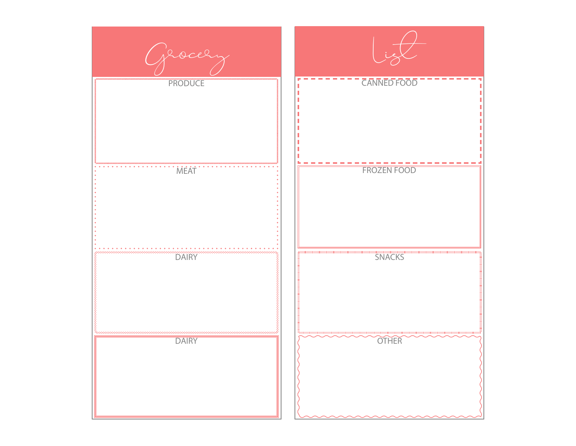